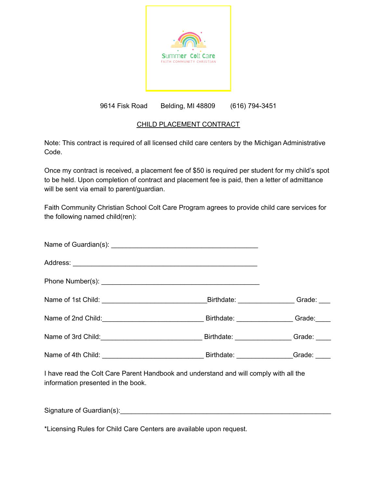

# 9614 Fisk Road Belding, MI 48809 (616) 794-3451

## CHILD PLACEMENT CONTRACT

Note: This contract is required of all licensed child care centers by the Michigan Administrative Code.

Once my contract is received, a placement fee of \$50 is required per student for my child's spot to be held. Upon completion of contract and placement fee is paid, then a letter of admittance will be sent via email to parent/guardian.

Faith Community Christian School Colt Care Program agrees to provide child care services for the following named child(ren):

|  | Birthdate: __________________Grade: _____ |
|--|-------------------------------------------|
|  |                                           |
|  |                                           |

I have read the Colt Care Parent Handbook and understand and will comply with all the information presented in the book.

Signature of Guardian(s): example and the state of Guardian state of  $\frac{1}{2}$ 

\*Licensing Rules for Child Care Centers are available upon request.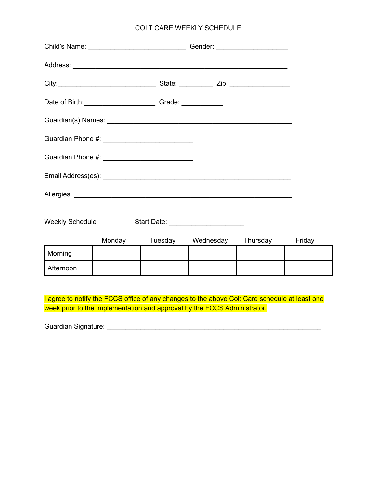## COLT CARE WEEKLY SCHEDULE

| Date of Birth: __________________________________Grade: ________________________ |                                                   |  |                                     |          |        |
|----------------------------------------------------------------------------------|---------------------------------------------------|--|-------------------------------------|----------|--------|
|                                                                                  |                                                   |  |                                     |          |        |
| Guardian Phone #: ___________________________                                    |                                                   |  |                                     |          |        |
|                                                                                  | Guardian Phone #: _______________________________ |  |                                     |          |        |
|                                                                                  |                                                   |  |                                     |          |        |
|                                                                                  |                                                   |  |                                     |          |        |
| <b>Weekly Schedule</b>                                                           |                                                   |  | Start Date: _______________________ |          |        |
|                                                                                  | Monday                                            |  | Tuesday Wednesday                   | Thursday | Friday |
| Morning                                                                          |                                                   |  |                                     |          |        |
| Afternoon                                                                        |                                                   |  |                                     |          |        |

I agree to notify the FCCS office of any changes to the above Colt Care schedule at least one week prior to the implementation and approval by the FCCS Administrator.

Guardian Signature: \_\_\_\_\_\_\_\_\_\_\_\_\_\_\_\_\_\_\_\_\_\_\_\_\_\_\_\_\_\_\_\_\_\_\_\_\_\_\_\_\_\_\_\_\_\_\_\_\_\_\_\_\_\_\_\_\_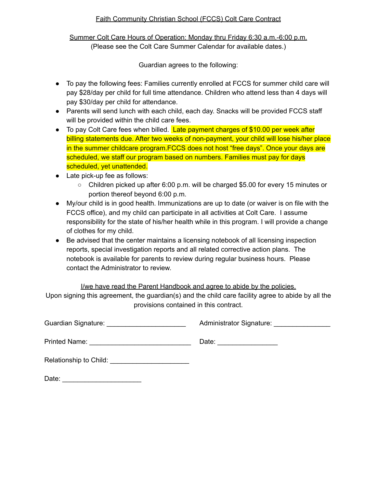### Faith Community Christian School (FCCS) Colt Care Contract

Summer Colt Care Hours of Operation: Monday thru Friday 6:30 a.m.-6:00 p.m. (Please see the Colt Care Summer Calendar for available dates.)

Guardian agrees to the following:

- To pay the following fees: Families currently enrolled at FCCS for summer child care will pay \$28/day per child for full time attendance. Children who attend less than 4 days will pay \$30/day per child for attendance.
- Parents will send lunch with each child, each day. Snacks will be provided FCCS staff will be provided within the child care fees.
- To pay Colt Care fees when billed. Late payment charges of \$10.00 per week after billing statements due. After two weeks of non-payment, your child will lose his/her place in the summer childcare program.FCCS does not host "free days". Once your days are scheduled, we staff our program based on numbers. Families must pay for days scheduled, yet unattended.
- Late pick-up fee as follows:
	- Children picked up after 6:00 p.m. will be charged \$5.00 for every 15 minutes or portion thereof beyond 6:00 p.m.
- My/our child is in good health. Immunizations are up to date (or waiver is on file with the FCCS office), and my child can participate in all activities at Colt Care. I assume responsibility for the state of his/her health while in this program. I will provide a change of clothes for my child.
- Be advised that the center maintains a licensing notebook of all licensing inspection reports, special investigation reports and all related corrective action plans. The notebook is available for parents to review during regular business hours. Please contact the Administrator to review.

I/we have read the Parent Handbook and agree to abide by the policies. Upon signing this agreement, the guardian(s) and the child care facility agree to abide by all the provisions contained in this contract.

Guardian Signature: \_\_\_\_\_\_\_\_\_\_\_\_\_\_\_\_\_\_\_\_\_ Administrator Signature: \_\_\_\_\_\_\_\_\_\_\_\_\_\_\_

Printed Name: \_\_\_\_\_\_\_\_\_\_\_\_\_\_\_\_\_\_\_\_\_\_\_\_\_\_\_ Date: \_\_\_\_\_\_\_\_\_\_\_\_\_\_\_\_

Date: \_\_\_\_\_\_\_\_\_\_\_\_\_\_\_\_\_\_\_\_\_